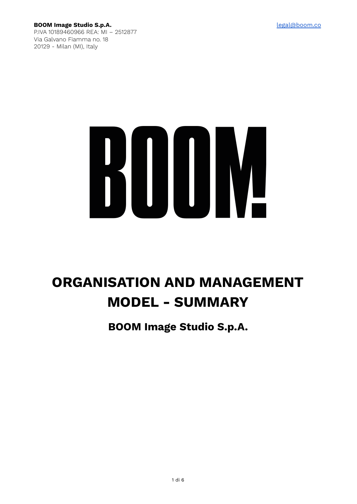**BOOM Image Studio S.p.A.** [legal@boom.co](mailto:legal@boom.co) P.IVA 10189460966 REA: MI – 2512877 Via Galvano Fiamma no. 18 20129 - Milan (MI), Italy

# 

# **ORGANISATION AND MANAGEMENT MODEL - SUMMARY**

**BOOM Image Studio S.p.A.**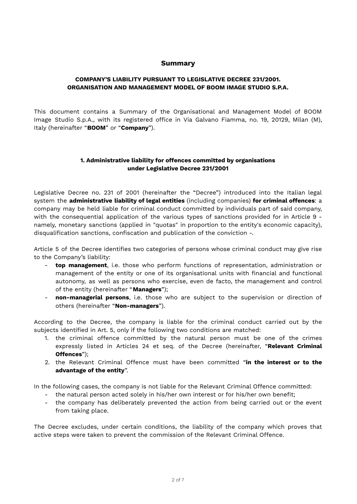# **Summary**

# **COMPANY'S LIABILITY PURSUANT TO LEGISLATIVE DECREE 231/2001. ORGANISATION AND MANAGEMENT MODEL OF BOOM IMAGE STUDIO S.P.A.**

This document contains a Summary of the Organisational and Management Model of BOOM Image Studio S.p.A., with its registered office in Via Galvano Fiamma, no. 19, 20129, Milan (M), Italy (hereinafter "**BOOM**" or "**Company**").

# **1. Administrative liability for offences committed by organisations under Legislative Decree 231/2001**

Legislative Decree no. 231 of 2001 (hereinafter the "Decree") introduced into the Italian legal system the **administrative liability of legal entities** (including companies) **for criminal offences**: a company may be held liable for criminal conduct committed by individuals part of said company, with the consequential application of the various types of sanctions provided for in Article 9 namely, monetary sanctions (applied in "quotas" in proportion to the entity's economic capacity), disqualification sanctions, confiscation and publication of the conviction -.

Article 5 of the Decree identifies two categories of persons whose criminal conduct may give rise to the Company's liability:

- **top management**, i.e. those who perform functions of representation, administration or management of the entity or one of its organisational units with financial and functional autonomy, as well as persons who exercise, even de facto, the management and control of the entity (hereinafter "**Managers**");
- **non-managerial persons**, i.e. those who are subject to the supervision or direction of others (hereinafter "**Non-managers**").

According to the Decree, the company is liable for the criminal conduct carried out by the subjects identified in Art. 5, only if the following two conditions are matched:

- 1. the criminal offence committed by the natural person must be one of the crimes expressly listed in Articles 24 et seq. of the Decree (hereinafter, "**Relevant Criminal Offences**");
- 2. the Relevant Criminal Offence must have been committed "**in the interest or to the advantage of the entity**".

In the following cases, the company is not liable for the Relevant Criminal Offence committed:

- the natural person acted solely in his/her own interest or for his/her own benefit;
- the company has deliberately prevented the action from being carried out or the event from taking place.

The Decree excludes, under certain conditions, the liability of the company which proves that active steps were taken to prevent the commission of the Relevant Criminal Offence.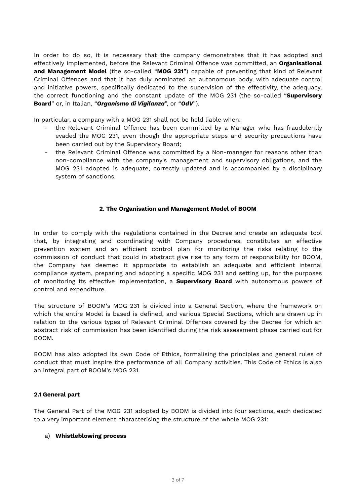In order to do so, it is necessary that the company demonstrates that it has adopted and effectively implemented, before the Relevant Criminal Offence was committed, an **Organisational and Management Model** (the so-called "**MOG 231**") capable of preventing that kind of Relevant Criminal Offences and that it has duly nominated an autonomous body, with adequate control and initiative powers, specifically dedicated to the supervision of the effectivity, the adequacy, the correct functioning and the constant update of the MOG 231 (the so-called "**Supervisory Board**" or, in Italian, "*Organismo di Vigilanza*", or "*OdV*").

In particular, a company with a MOG 231 shall not be held liable when:

- the Relevant Criminal Offence has been committed by a Manager who has fraudulently evaded the MOG 231, even though the appropriate steps and security precautions have been carried out by the Supervisory Board;
- the Relevant Criminal Offence was committed by a Non-manager for reasons other than non-compliance with the company's management and supervisory obligations, and the MOG 231 adopted is adequate, correctly updated and is accompanied by a disciplinary system of sanctions.

# **2. The Organisation and Management Model of BOOM**

In order to comply with the regulations contained in the Decree and create an adequate tool that, by integrating and coordinating with Company procedures, constitutes an effective prevention system and an efficient control plan for monitoring the risks relating to the commission of conduct that could in abstract give rise to any form of responsibility for BOOM, the Company has deemed it appropriate to establish an adequate and efficient internal compliance system, preparing and adopting a specific MOG 231 and setting up, for the purposes of monitoring its effective implementation, a **Supervisory Board** with autonomous powers of control and expenditure.

The structure of BOOM's MOG 231 is divided into a General Section, where the framework on which the entire Model is based is defined, and various Special Sections, which are drawn up in relation to the various types of Relevant Criminal Offences covered by the Decree for which an abstract risk of commission has been identified during the risk assessment phase carried out for BOOM.

BOOM has also adopted its own Code of Ethics, formalising the principles and general rules of conduct that must inspire the performance of all Company activities. This Code of Ethics is also an integral part of BOOM's MOG 231.

# **2.1 General part**

The General Part of the MOG 231 adopted by BOOM is divided into four sections, each dedicated to a very important element characterising the structure of the whole MOG 231:

#### a) **Whistleblowing process**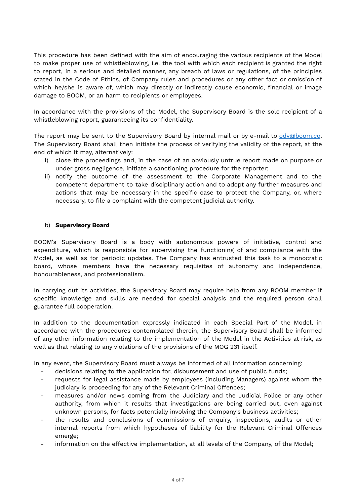This procedure has been defined with the aim of encouraging the various recipients of the Model to make proper use of whistleblowing, i.e. the tool with which each recipient is granted the right to report, in a serious and detailed manner, any breach of laws or regulations, of the principles stated in the Code of Ethics, of Company rules and procedures or any other fact or omission of which he/she is aware of, which may directly or indirectly cause economic, financial or image damage to BOOM, or an harm to recipients or employees.

In accordance with the provisions of the Model, the Supervisory Board is the sole recipient of a whistleblowing report, guaranteeing its confidentiality.

The report may be sent to the Supervisory Board by internal mail or by e-mail to [odv@boom.co](mailto:odv@boom.co). The Supervisory Board shall then initiate the process of verifying the validity of the report, at the end of which it may, alternatively:

- i) close the proceedings and, in the case of an obviously untrue report made on purpose or under gross negligence, initiate a sanctioning procedure for the reporter;
- ii) notify the outcome of the assessment to the Corporate Management and to the competent department to take disciplinary action and to adopt any further measures and actions that may be necessary in the specific case to protect the Company, or, where necessary, to file a complaint with the competent judicial authority.

# b) **Supervisory Board**

BOOM's Supervisory Board is a body with autonomous powers of initiative, control and expenditure, which is responsible for supervising the functioning of and compliance with the Model, as well as for periodic updates. The Company has entrusted this task to a monocratic board, whose members have the necessary requisites of autonomy and independence, honourableness, and professionalism.

In carrying out its activities, the Supervisory Board may require help from any BOOM member if specific knowledge and skills are needed for special analysis and the required person shall guarantee full cooperation.

In addition to the documentation expressly indicated in each Special Part of the Model, in accordance with the procedures contemplated therein, the Supervisory Board shall be informed of any other information relating to the implementation of the Model in the Activities at risk, as well as that relating to any violations of the provisions of the MOG 231 itself.

In any event, the Supervisory Board must always be informed of all information concerning:

- decisions relating to the application for, disbursement and use of public funds;
- requests for legal assistance made by employees (including Managers) against whom the judiciary is proceeding for any of the Relevant Criminal Offences;
- measures and/or news coming from the Judiciary and the Judicial Police or any other authority, from which it results that investigations are being carried out, even against unknown persons, for facts potentially involving the Company's business activities;
- the results and conclusions of commissions of enquiry, inspections, audits or other internal reports from which hypotheses of liability for the Relevant Criminal Offences emerge;
- information on the effective implementation, at all levels of the Company, of the Model;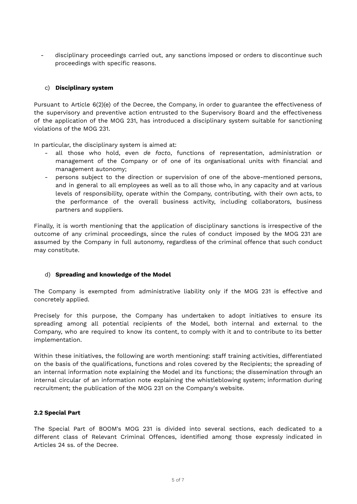disciplinary proceedings carried out, any sanctions imposed or orders to discontinue such proceedings with specific reasons.

# c) **Disciplinary system**

Pursuant to Article 6(2)(e) of the Decree, the Company, in order to guarantee the effectiveness of the supervisory and preventive action entrusted to the Supervisory Board and the effectiveness of the application of the MOG 231, has introduced a disciplinary system suitable for sanctioning violations of the MOG 231.

In particular, the disciplinary system is aimed at:

- all those who hold, even *de facto*, functions of representation, administration or management of the Company or of one of its organisational units with financial and management autonomy;
- persons subject to the direction or supervision of one of the above-mentioned persons, and in general to all employees as well as to all those who, in any capacity and at various levels of responsibility, operate within the Company, contributing, with their own acts, to the performance of the overall business activity, including collaborators, business partners and suppliers.

Finally, it is worth mentioning that the application of disciplinary sanctions is irrespective of the outcome of any criminal proceedings, since the rules of conduct imposed by the MOG 231 are assumed by the Company in full autonomy, regardless of the criminal offence that such conduct may constitute.

# d) **Spreading and knowledge of the Model**

The Company is exempted from administrative liability only if the MOG 231 is effective and concretely applied.

Precisely for this purpose, the Company has undertaken to adopt initiatives to ensure its spreading among all potential recipients of the Model, both internal and external to the Company, who are required to know its content, to comply with it and to contribute to its better implementation.

Within these initiatives, the following are worth mentioning: staff training activities, differentiated on the basis of the qualifications, functions and roles covered by the Recipients; the spreading of an internal information note explaining the Model and its functions; the dissemination through an internal circular of an information note explaining the whistleblowing system; information during recruitment; the publication of the MOG 231 on the Company's website.

# **2.2 Special Part**

The Special Part of BOOM's MOG 231 is divided into several sections, each dedicated to a different class of Relevant Criminal Offences, identified among those expressly indicated in Articles 24 ss. of the Decree.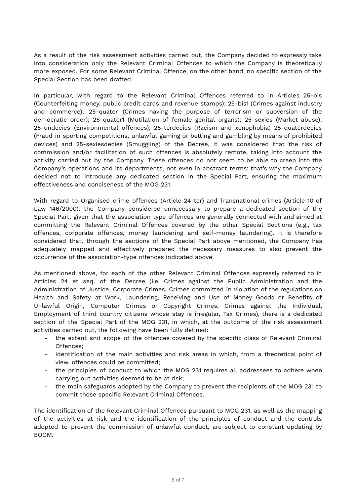As a result of the risk assessment activities carried out, the Company decided to expressly take into consideration only the Relevant Criminal Offences to which the Company is theoretically more exposed. For some Relevant Criminal Offence, on the other hand, no specific section of the Special Section has been drafted.

In particular, with regard to the Relevant Criminal Offences referred to in Articles 25-bis (Counterfeiting money, public credit cards and revenue stamps); 25-bis1 (Crimes against industry and commerce); 25-quater (Crimes having the purpose of terrorism or subversion of the democratic order); 25-quater1 (Mutilation of female genital organs); 25-sexies (Market abuse); 25-undecies (Environmental offences); 25-terdecies (Racism and xenophobia) 25-quaterdecies (Fraud in sporting competitions, unlawful gaming or betting and gambling by means of prohibited devices) and 25-sexiesdecies (Smuggling) of the Decree, it was considered that the risk of commission and/or facilitation of such offences is absolutely remote, taking into account the activity carried out by the Company. These offences do not seem to be able to creep into the Company's operations and its departments, not even in abstract terms; that's why the Company decided not to introduce any dedicated section in the Special Part, ensuring the maximum effectiveness and conciseness of the MOG 231.

With regard to Organised crime offences (Article 24-ter) and Transnational crimes (Article 10 of Law 146/2000), the Company considered unnecessary to prepare a dedicated section of the Special Part, given that the association type offences are generally connected with and aimed at committing the Relevant Criminal Offences covered by the other Special Sections (e.g., tax offences, corporate offences, money laundering and self-money laundering). It is therefore considered that, through the sections of the Special Part above mentioned, the Company has adequately mapped and effectively prepared the necessary measures to also prevent the occurrence of the association-type offences indicated above.

As mentioned above, for each of the other Relevant Criminal Offences expressly referred to in Articles 24 et seq. of the Decree (i.e. Crimes against the Public Administration and the Administration of Justice, Corporate Crimes, Crimes committed in violation of the regulations on Health and Safety at Work, Laundering, Receiving and Use of Money Goods or Benefits of Unlawful Origin, Computer Crimes or Copyright Crimes, Crimes against the Individual, Employment of third country citizens whose stay is irregular, Tax Crimes), there is a dedicated section of the Special Part of the MOG 231, in which, at the outcome of the risk assessment activities carried out, the following have been fully defined:

- the extent and scope of the offences covered by the specific class of Relevant Criminal Offences;
- identification of the main activities and risk areas in which, from a theoretical point of view, offences could be committed;
- the principles of conduct to which the MOG 231 requires all addressees to adhere when carrying out activities deemed to be at risk;
- the main safeguards adopted by the Company to prevent the recipients of the MOG 231 to commit those specific Relevant Criminal Offences.

The identification of the Relevant Criminal Offences pursuant to MOG 231, as well as the mapping of the activities at risk and the identification of the principles of conduct and the controls adopted to prevent the commission of unlawful conduct, are subject to constant updating by BOOM.